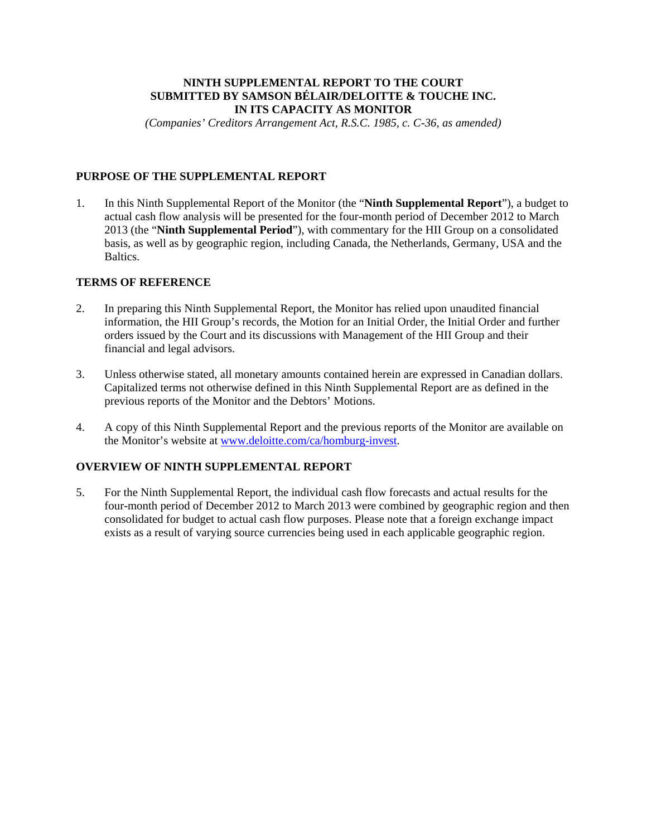## **NINTH SUPPLEMENTAL REPORT TO THE COURT SUBMITTED BY SAMSON BÉLAIR/DELOITTE & TOUCHE INC. IN ITS CAPACITY AS MONITOR**

*(Companies' Creditors Arrangement Act, R.S.C. 1985, c. C-36, as amended)* 

# **PURPOSE OF THE SUPPLEMENTAL REPORT**

1. In this Ninth Supplemental Report of the Monitor (the "**Ninth Supplemental Report**"), a budget to actual cash flow analysis will be presented for the four-month period of December 2012 to March 2013 (the "**Ninth Supplemental Period**"), with commentary for the HII Group on a consolidated basis, as well as by geographic region, including Canada, the Netherlands, Germany, USA and the Baltics.

## **TERMS OF REFERENCE**

- 2. In preparing this Ninth Supplemental Report, the Monitor has relied upon unaudited financial information, the HII Group's records, the Motion for an Initial Order, the Initial Order and further orders issued by the Court and its discussions with Management of the HII Group and their financial and legal advisors.
- 3. Unless otherwise stated, all monetary amounts contained herein are expressed in Canadian dollars. Capitalized terms not otherwise defined in this Ninth Supplemental Report are as defined in the previous reports of the Monitor and the Debtors' Motions.
- 4. A copy of this Ninth Supplemental Report and the previous reports of the Monitor are available on the Monitor's website at www.deloitte.com/ca/homburg-invest.

## **OVERVIEW OF NINTH SUPPLEMENTAL REPORT**

5. For the Ninth Supplemental Report, the individual cash flow forecasts and actual results for the four-month period of December 2012 to March 2013 were combined by geographic region and then consolidated for budget to actual cash flow purposes. Please note that a foreign exchange impact exists as a result of varying source currencies being used in each applicable geographic region.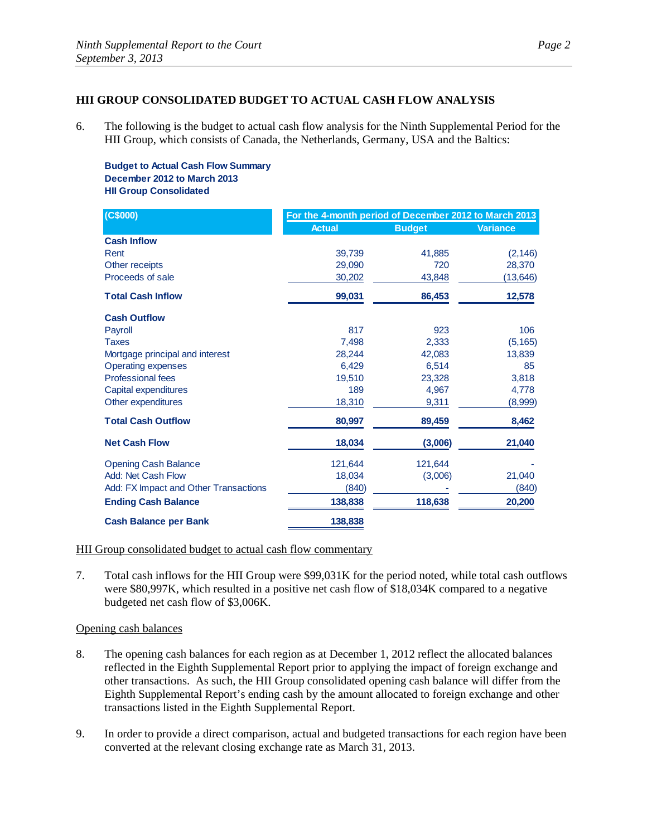## **HII GROUP CONSOLIDATED BUDGET TO ACTUAL CASH FLOW ANALYSIS**

6. The following is the budget to actual cash flow analysis for the Ninth Supplemental Period for the HII Group, which consists of Canada, the Netherlands, Germany, USA and the Baltics:

**Budget to Actual Cash Flow Summary December 2012 to March 2013 HII Group Consolidated**

| (C\$000)                              | For the 4-month period of December 2012 to March 2013 |               |                 |
|---------------------------------------|-------------------------------------------------------|---------------|-----------------|
|                                       | <b>Actual</b>                                         | <b>Budget</b> | <b>Variance</b> |
| <b>Cash Inflow</b>                    |                                                       |               |                 |
| Rent                                  | 39,739                                                | 41,885        | (2, 146)        |
| Other receipts                        | 29,090                                                | 720           | 28,370          |
| Proceeds of sale                      | 30,202                                                | 43,848        | (13,646)        |
| <b>Total Cash Inflow</b>              | 99,031                                                | 86,453        | 12,578          |
| <b>Cash Outflow</b>                   |                                                       |               |                 |
| Payroll                               | 817                                                   | 923           | 106             |
| <b>Taxes</b>                          | 7.498                                                 | 2,333         | (5, 165)        |
| Mortgage principal and interest       | 28,244                                                | 42,083        | 13,839          |
| <b>Operating expenses</b>             | 6,429                                                 | 6,514         | 85              |
| <b>Professional fees</b>              | 19,510                                                | 23,328        | 3,818           |
| Capital expenditures                  | 189                                                   | 4.967         | 4,778           |
| Other expenditures                    | 18,310                                                | 9,311         | (8,999)         |
| <b>Total Cash Outflow</b>             | 80,997                                                | 89,459        | 8,462           |
| <b>Net Cash Flow</b>                  | 18,034                                                | (3,006)       | 21,040          |
| <b>Opening Cash Balance</b>           | 121,644                                               | 121,644       |                 |
| Add: Net Cash Flow                    | 18,034                                                | (3,006)       | 21,040          |
| Add: FX Impact and Other Transactions | (840)                                                 |               | (840)           |
| <b>Ending Cash Balance</b>            | 138,838                                               | 118,638       | 20,200          |
| <b>Cash Balance per Bank</b>          | 138,838                                               |               |                 |

#### HII Group consolidated budget to actual cash flow commentary

7. Total cash inflows for the HII Group were \$99,031K for the period noted, while total cash outflows were \$80,997K, which resulted in a positive net cash flow of \$18,034K compared to a negative budgeted net cash flow of \$3,006K.

#### Opening cash balances

- 8. The opening cash balances for each region as at December 1, 2012 reflect the allocated balances reflected in the Eighth Supplemental Report prior to applying the impact of foreign exchange and other transactions. As such, the HII Group consolidated opening cash balance will differ from the Eighth Supplemental Report's ending cash by the amount allocated to foreign exchange and other transactions listed in the Eighth Supplemental Report.
- 9. In order to provide a direct comparison, actual and budgeted transactions for each region have been converted at the relevant closing exchange rate as March 31, 2013.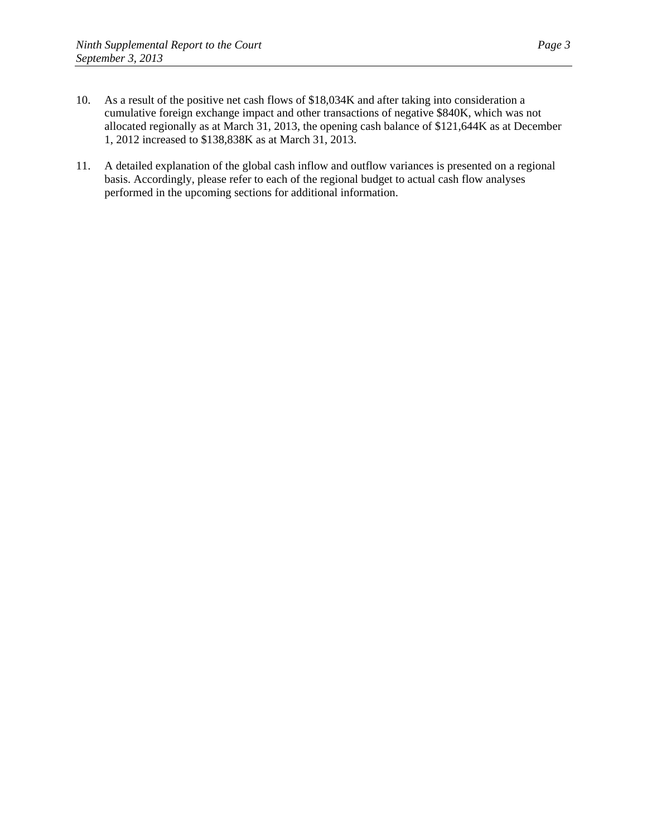- 10. As a result of the positive net cash flows of \$18,034K and after taking into consideration a cumulative foreign exchange impact and other transactions of negative \$840K, which was not allocated regionally as at March 31, 2013, the opening cash balance of \$121,644K as at December 1, 2012 increased to \$138,838K as at March 31, 2013.
- 11. A detailed explanation of the global cash inflow and outflow variances is presented on a regional basis. Accordingly, please refer to each of the regional budget to actual cash flow analyses performed in the upcoming sections for additional information.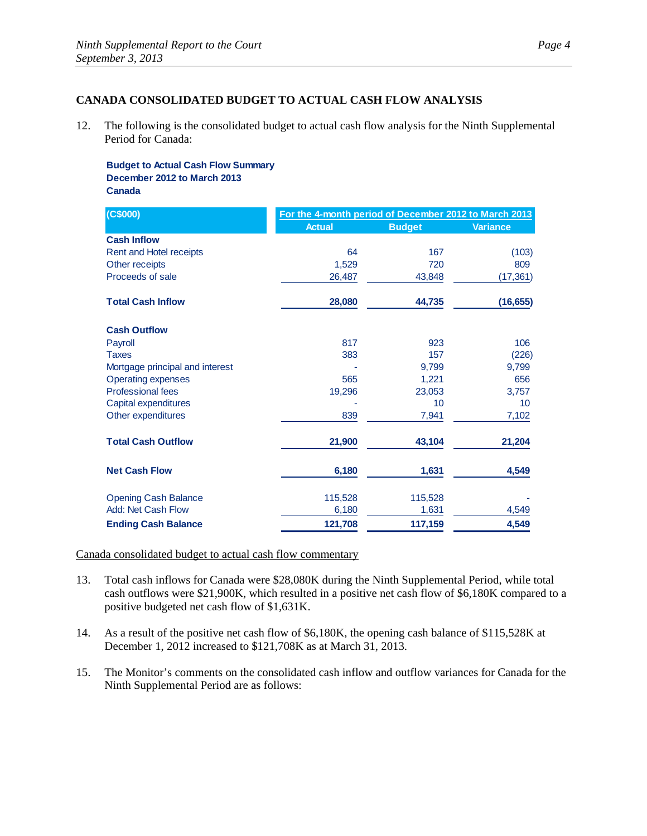# **CANADA CONSOLIDATED BUDGET TO ACTUAL CASH FLOW ANALYSIS**

12. The following is the consolidated budget to actual cash flow analysis for the Ninth Supplemental Period for Canada:

**Budget to Actual Cash Flow Summary December 2012 to March 2013 Canada**

| (C\$000)                        | For the 4-month period of December 2012 to March 2013 |               |                 |
|---------------------------------|-------------------------------------------------------|---------------|-----------------|
|                                 | <b>Actual</b>                                         | <b>Budget</b> | <b>Variance</b> |
| <b>Cash Inflow</b>              |                                                       |               |                 |
| Rent and Hotel receipts         | 64                                                    | 167           | (103)           |
| Other receipts                  | 1,529                                                 | 720           | 809             |
| Proceeds of sale                | 26,487                                                | 43,848        | (17, 361)       |
| <b>Total Cash Inflow</b>        | 28,080                                                | 44,735        | (16, 655)       |
| <b>Cash Outflow</b>             |                                                       |               |                 |
| Payroll                         | 817                                                   | 923           | 106             |
| <b>Taxes</b>                    | 383                                                   | 157           | (226)           |
| Mortgage principal and interest |                                                       | 9.799         | 9,799           |
| <b>Operating expenses</b>       | 565                                                   | 1,221         | 656             |
| <b>Professional fees</b>        | 19,296                                                | 23,053        | 3,757           |
| Capital expenditures            |                                                       | 10            | 10              |
| Other expenditures              | 839                                                   | 7,941         | 7,102           |
| <b>Total Cash Outflow</b>       | 21,900                                                | 43,104        | 21,204          |
| <b>Net Cash Flow</b>            | 6,180                                                 | 1,631         | 4,549           |
| <b>Opening Cash Balance</b>     | 115,528                                               | 115,528       |                 |
| Add: Net Cash Flow              | 6,180                                                 | 1,631         | 4,549           |
| <b>Ending Cash Balance</b>      | 121,708                                               | 117,159       | 4,549           |

Canada consolidated budget to actual cash flow commentary

- 13. Total cash inflows for Canada were \$28,080K during the Ninth Supplemental Period, while total cash outflows were \$21,900K, which resulted in a positive net cash flow of \$6,180K compared to a positive budgeted net cash flow of \$1,631K.
- 14. As a result of the positive net cash flow of \$6,180K, the opening cash balance of \$115,528K at December 1, 2012 increased to \$121,708K as at March 31, 2013.
- 15. The Monitor's comments on the consolidated cash inflow and outflow variances for Canada for the Ninth Supplemental Period are as follows: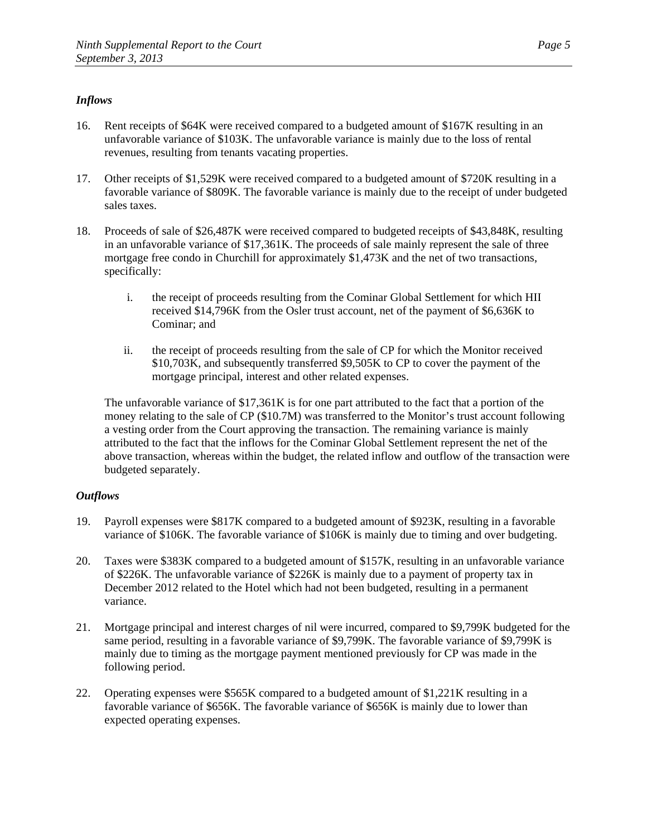# *Inflows*

- 16. Rent receipts of \$64K were received compared to a budgeted amount of \$167K resulting in an unfavorable variance of \$103K. The unfavorable variance is mainly due to the loss of rental revenues, resulting from tenants vacating properties.
- 17. Other receipts of \$1,529K were received compared to a budgeted amount of \$720K resulting in a favorable variance of \$809K. The favorable variance is mainly due to the receipt of under budgeted sales taxes.
- 18. Proceeds of sale of \$26,487K were received compared to budgeted receipts of \$43,848K, resulting in an unfavorable variance of \$17,361K. The proceeds of sale mainly represent the sale of three mortgage free condo in Churchill for approximately \$1,473K and the net of two transactions, specifically:
	- i. the receipt of proceeds resulting from the Cominar Global Settlement for which HII received \$14,796K from the Osler trust account, net of the payment of \$6,636K to Cominar; and
	- ii. the receipt of proceeds resulting from the sale of CP for which the Monitor received \$10,703K, and subsequently transferred \$9,505K to CP to cover the payment of the mortgage principal, interest and other related expenses.

The unfavorable variance of \$17,361K is for one part attributed to the fact that a portion of the money relating to the sale of CP (\$10.7M) was transferred to the Monitor's trust account following a vesting order from the Court approving the transaction. The remaining variance is mainly attributed to the fact that the inflows for the Cominar Global Settlement represent the net of the above transaction, whereas within the budget, the related inflow and outflow of the transaction were budgeted separately.

- 19. Payroll expenses were \$817K compared to a budgeted amount of \$923K, resulting in a favorable variance of \$106K. The favorable variance of \$106K is mainly due to timing and over budgeting.
- 20. Taxes were \$383K compared to a budgeted amount of \$157K, resulting in an unfavorable variance of \$226K. The unfavorable variance of \$226K is mainly due to a payment of property tax in December 2012 related to the Hotel which had not been budgeted, resulting in a permanent variance.
- 21. Mortgage principal and interest charges of nil were incurred, compared to \$9,799K budgeted for the same period, resulting in a favorable variance of \$9,799K. The favorable variance of \$9,799K is mainly due to timing as the mortgage payment mentioned previously for CP was made in the following period.
- 22. Operating expenses were \$565K compared to a budgeted amount of \$1,221K resulting in a favorable variance of \$656K. The favorable variance of \$656K is mainly due to lower than expected operating expenses.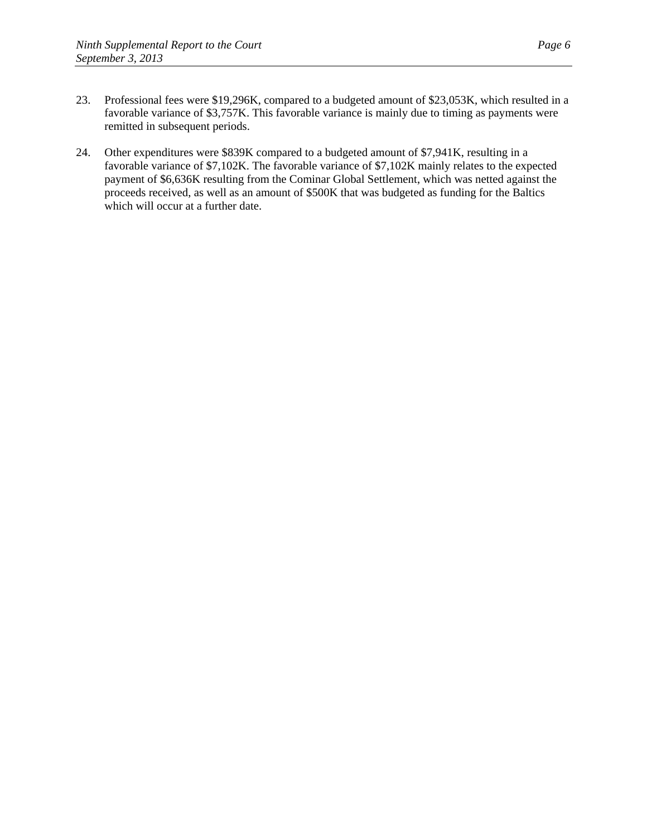- 23. Professional fees were \$19,296K, compared to a budgeted amount of \$23,053K, which resulted in a favorable variance of \$3,757K. This favorable variance is mainly due to timing as payments were remitted in subsequent periods.
- 24. Other expenditures were \$839K compared to a budgeted amount of \$7,941K, resulting in a favorable variance of \$7,102K. The favorable variance of \$7,102K mainly relates to the expected payment of \$6,636K resulting from the Cominar Global Settlement, which was netted against the proceeds received, as well as an amount of \$500K that was budgeted as funding for the Baltics which will occur at a further date.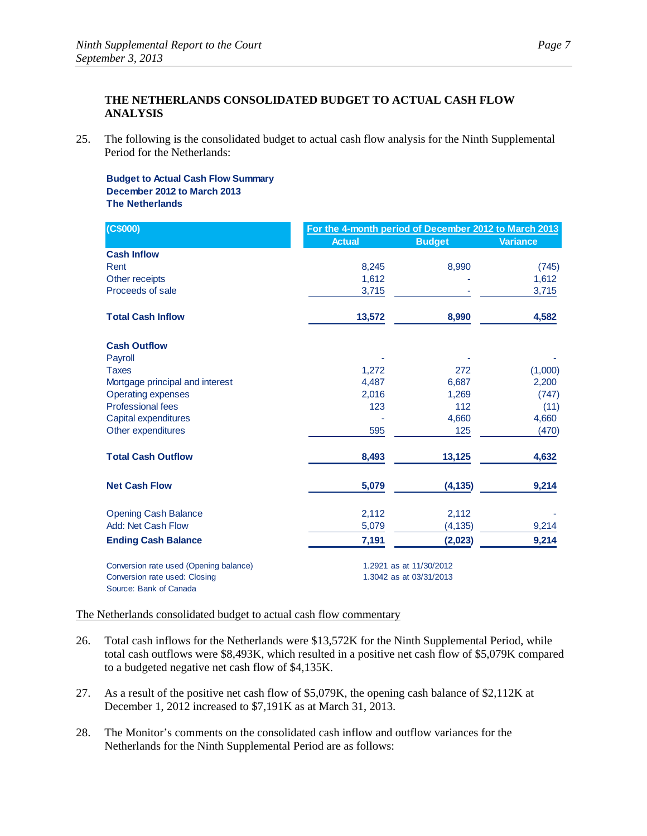# **THE NETHERLANDS CONSOLIDATED BUDGET TO ACTUAL CASH FLOW ANALYSIS**

25. The following is the consolidated budget to actual cash flow analysis for the Ninth Supplemental Period for the Netherlands:

#### **Budget to Actual Cash Flow Summary December 2012 to March 2013 The Netherlands**

| (C\$000)                                                                | For the 4-month period of December 2012 to March 2013 |               |                 |
|-------------------------------------------------------------------------|-------------------------------------------------------|---------------|-----------------|
|                                                                         | <b>Actual</b>                                         | <b>Budget</b> | <b>Variance</b> |
| <b>Cash Inflow</b>                                                      |                                                       |               |                 |
| Rent                                                                    | 8,245                                                 | 8,990         | (745)           |
| Other receipts                                                          | 1,612                                                 |               | 1,612           |
| Proceeds of sale                                                        | 3,715                                                 |               | 3,715           |
| <b>Total Cash Inflow</b>                                                | 13,572                                                | 8,990         | 4,582           |
| <b>Cash Outflow</b>                                                     |                                                       |               |                 |
| Payroll                                                                 |                                                       |               |                 |
| <b>Taxes</b>                                                            | 1,272                                                 | 272           | (1,000)         |
| Mortgage principal and interest                                         | 4,487                                                 | 6,687         | 2,200           |
| <b>Operating expenses</b>                                               | 2,016                                                 | 1,269         | (747)           |
| <b>Professional fees</b>                                                | 123                                                   | 112           | (11)            |
| Capital expenditures                                                    |                                                       | 4,660         | 4,660           |
| Other expenditures                                                      | 595                                                   | 125           | (470)           |
| <b>Total Cash Outflow</b>                                               | 8,493                                                 | 13,125        | 4,632           |
| <b>Net Cash Flow</b>                                                    | 5,079                                                 | (4, 135)      | 9,214           |
| <b>Opening Cash Balance</b>                                             | 2,112                                                 | 2,112         |                 |
| <b>Add: Net Cash Flow</b>                                               | 5,079                                                 | (4, 135)      | 9,214           |
| <b>Ending Cash Balance</b>                                              | 7,191                                                 | (2,023)       | 9,214           |
| Conversion rate used (Opening balance)<br>Conversion rate used: Closing | 1.2921 as at 11/30/2012<br>1.3042 as at 03/31/2013    |               |                 |
| Source: Bank of Canada                                                  |                                                       |               |                 |

The Netherlands consolidated budget to actual cash flow commentary

- 26. Total cash inflows for the Netherlands were \$13,572K for the Ninth Supplemental Period, while total cash outflows were \$8,493K, which resulted in a positive net cash flow of \$5,079K compared to a budgeted negative net cash flow of \$4,135K.
- 27. As a result of the positive net cash flow of \$5,079K, the opening cash balance of \$2,112K at December 1, 2012 increased to \$7,191K as at March 31, 2013.
- 28. The Monitor's comments on the consolidated cash inflow and outflow variances for the Netherlands for the Ninth Supplemental Period are as follows: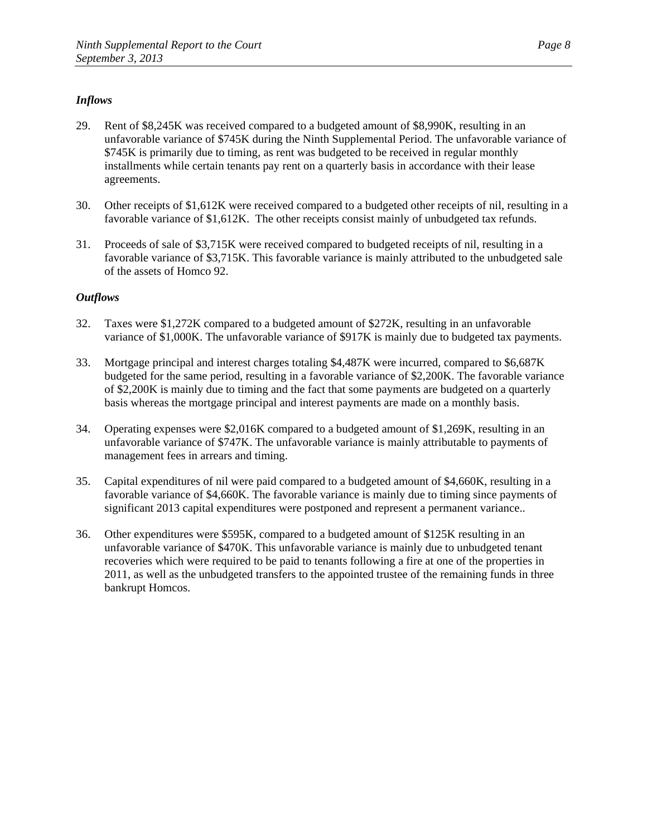# *Inflows*

- 29. Rent of \$8,245K was received compared to a budgeted amount of \$8,990K, resulting in an unfavorable variance of \$745K during the Ninth Supplemental Period. The unfavorable variance of \$745K is primarily due to timing, as rent was budgeted to be received in regular monthly installments while certain tenants pay rent on a quarterly basis in accordance with their lease agreements.
- 30. Other receipts of \$1,612K were received compared to a budgeted other receipts of nil, resulting in a favorable variance of \$1,612K. The other receipts consist mainly of unbudgeted tax refunds.
- 31. Proceeds of sale of \$3,715K were received compared to budgeted receipts of nil, resulting in a favorable variance of \$3,715K. This favorable variance is mainly attributed to the unbudgeted sale of the assets of Homco 92.

- 32. Taxes were \$1,272K compared to a budgeted amount of \$272K, resulting in an unfavorable variance of \$1,000K. The unfavorable variance of \$917K is mainly due to budgeted tax payments.
- 33. Mortgage principal and interest charges totaling \$4,487K were incurred, compared to \$6,687K budgeted for the same period, resulting in a favorable variance of \$2,200K. The favorable variance of \$2,200K is mainly due to timing and the fact that some payments are budgeted on a quarterly basis whereas the mortgage principal and interest payments are made on a monthly basis.
- 34. Operating expenses were \$2,016K compared to a budgeted amount of \$1,269K, resulting in an unfavorable variance of \$747K. The unfavorable variance is mainly attributable to payments of management fees in arrears and timing.
- 35. Capital expenditures of nil were paid compared to a budgeted amount of \$4,660K, resulting in a favorable variance of \$4,660K. The favorable variance is mainly due to timing since payments of significant 2013 capital expenditures were postponed and represent a permanent variance..
- 36. Other expenditures were \$595K, compared to a budgeted amount of \$125K resulting in an unfavorable variance of \$470K. This unfavorable variance is mainly due to unbudgeted tenant recoveries which were required to be paid to tenants following a fire at one of the properties in 2011, as well as the unbudgeted transfers to the appointed trustee of the remaining funds in three bankrupt Homcos.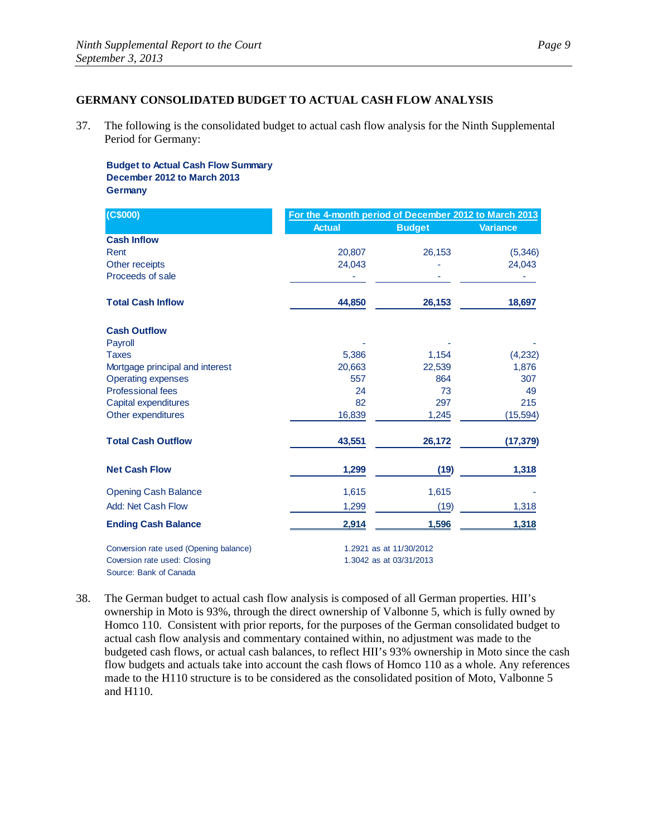### **GERMANY CONSOLIDATED BUDGET TO ACTUAL CASH FLOW ANALYSIS**

37. The following is the consolidated budget to actual cash flow analysis for the Ninth Supplemental Period for Germany:

**Budget to Actual Cash Flow Summary December 2012 to March 2013 Germany**

| (C\$000)                               | For the 4-month period of December 2012 to March 2013 |                         |                 |
|----------------------------------------|-------------------------------------------------------|-------------------------|-----------------|
|                                        | <b>Actual</b>                                         | <b>Budget</b>           | <b>Variance</b> |
| <b>Cash Inflow</b>                     |                                                       |                         |                 |
| Rent                                   | 20,807                                                | 26,153                  | (5,346)         |
| Other receipts                         | 24,043                                                |                         | 24,043          |
| Proceeds of sale                       |                                                       |                         |                 |
| <b>Total Cash Inflow</b>               | 44,850                                                | 26,153                  | 18,697          |
| <b>Cash Outflow</b>                    |                                                       |                         |                 |
| Payroll                                |                                                       |                         |                 |
| <b>Taxes</b>                           | 5,386                                                 | 1,154                   | (4,232)         |
| Mortgage principal and interest        | 20,663                                                | 22,539                  | 1,876           |
| <b>Operating expenses</b>              | 557                                                   | 864                     | 307             |
| <b>Professional fees</b>               | 24                                                    | 73                      | 49              |
| Capital expenditures                   | 82                                                    | 297                     | 215             |
| Other expenditures                     | 16,839                                                | 1,245                   | (15, 594)       |
| <b>Total Cash Outflow</b>              | 43,551                                                | 26,172                  | (17, 379)       |
| <b>Net Cash Flow</b>                   | 1,299                                                 | (19)                    | 1,318           |
| <b>Opening Cash Balance</b>            | 1,615                                                 | 1,615                   |                 |
| <b>Add: Net Cash Flow</b>              | 1,299                                                 | (19)                    | 1,318           |
| <b>Ending Cash Balance</b>             | 2,914                                                 | 1,596                   | 1,318           |
| Conversion rate used (Opening balance) |                                                       | 1.2921 as at 11/30/2012 |                 |
| Coversion rate used: Closing           |                                                       | 1.3042 as at 03/31/2013 |                 |

Source: Bank of Canada

38. The German budget to actual cash flow analysis is composed of all German properties. HII's ownership in Moto is 93%, through the direct ownership of Valbonne 5, which is fully owned by Homco 110. Consistent with prior reports, for the purposes of the German consolidated budget to actual cash flow analysis and commentary contained within, no adjustment was made to the budgeted cash flows, or actual cash balances, to reflect HII's 93% ownership in Moto since the cash flow budgets and actuals take into account the cash flows of Homco 110 as a whole. Any references made to the H110 structure is to be considered as the consolidated position of Moto, Valbonne 5 and H110.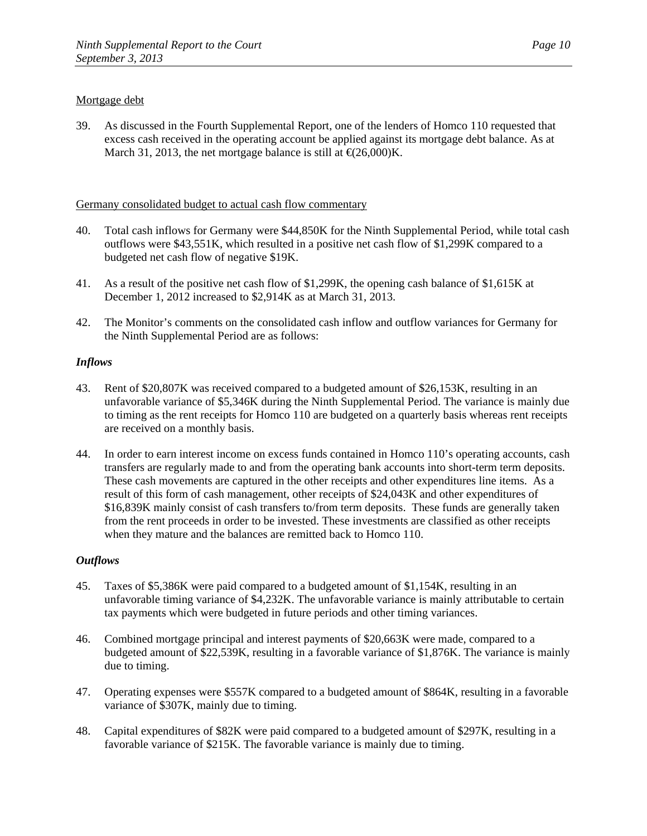### Mortgage debt

39. As discussed in the Fourth Supplemental Report, one of the lenders of Homco 110 requested that excess cash received in the operating account be applied against its mortgage debt balance. As at March 31, 2013, the net mortgage balance is still at  $\epsilon$ (26,000)K.

### Germany consolidated budget to actual cash flow commentary

- 40. Total cash inflows for Germany were \$44,850K for the Ninth Supplemental Period, while total cash outflows were \$43,551K, which resulted in a positive net cash flow of \$1,299K compared to a budgeted net cash flow of negative \$19K.
- 41. As a result of the positive net cash flow of \$1,299K, the opening cash balance of \$1,615K at December 1, 2012 increased to \$2,914K as at March 31, 2013.
- 42. The Monitor's comments on the consolidated cash inflow and outflow variances for Germany for the Ninth Supplemental Period are as follows:

### *Inflows*

- 43. Rent of \$20,807K was received compared to a budgeted amount of \$26,153K, resulting in an unfavorable variance of \$5,346K during the Ninth Supplemental Period. The variance is mainly due to timing as the rent receipts for Homco 110 are budgeted on a quarterly basis whereas rent receipts are received on a monthly basis.
- 44. In order to earn interest income on excess funds contained in Homco 110's operating accounts, cash transfers are regularly made to and from the operating bank accounts into short-term term deposits. These cash movements are captured in the other receipts and other expenditures line items. As a result of this form of cash management, other receipts of \$24,043K and other expenditures of \$16,839K mainly consist of cash transfers to/from term deposits. These funds are generally taken from the rent proceeds in order to be invested. These investments are classified as other receipts when they mature and the balances are remitted back to Homco 110.

- 45. Taxes of \$5,386K were paid compared to a budgeted amount of \$1,154K, resulting in an unfavorable timing variance of \$4,232K. The unfavorable variance is mainly attributable to certain tax payments which were budgeted in future periods and other timing variances.
- 46. Combined mortgage principal and interest payments of \$20,663K were made, compared to a budgeted amount of \$22,539K, resulting in a favorable variance of \$1,876K. The variance is mainly due to timing.
- 47. Operating expenses were \$557K compared to a budgeted amount of \$864K, resulting in a favorable variance of \$307K, mainly due to timing.
- 48. Capital expenditures of \$82K were paid compared to a budgeted amount of \$297K, resulting in a favorable variance of \$215K. The favorable variance is mainly due to timing.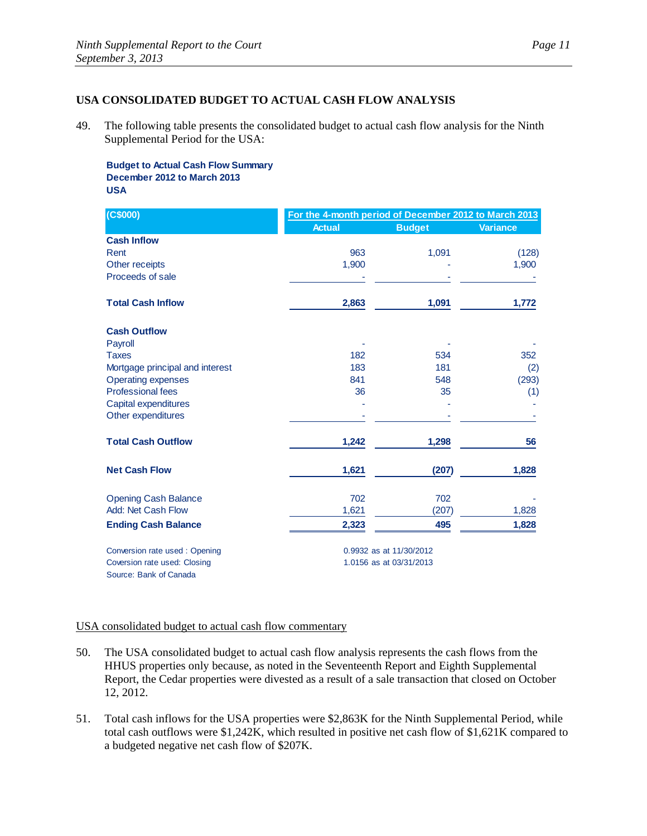## **USA CONSOLIDATED BUDGET TO ACTUAL CASH FLOW ANALYSIS**

49. The following table presents the consolidated budget to actual cash flow analysis for the Ninth Supplemental Period for the USA:

**Budget to Actual Cash Flow Summary December 2012 to March 2013 USA**

| (C\$000)                        |               | For the 4-month period of December 2012 to March 2013 |                 |  |
|---------------------------------|---------------|-------------------------------------------------------|-----------------|--|
|                                 | <b>Actual</b> | <b>Budget</b>                                         | <b>Variance</b> |  |
| <b>Cash Inflow</b>              |               |                                                       |                 |  |
| Rent                            | 963           | 1,091                                                 | (128)           |  |
| Other receipts                  | 1,900         |                                                       | 1,900           |  |
| Proceeds of sale                |               |                                                       |                 |  |
| <b>Total Cash Inflow</b>        | 2,863         | 1,091                                                 | 1,772           |  |
| <b>Cash Outflow</b>             |               |                                                       |                 |  |
| Payroll                         |               |                                                       |                 |  |
| <b>Taxes</b>                    | 182           | 534                                                   | 352             |  |
| Mortgage principal and interest | 183           | 181                                                   | (2)             |  |
| <b>Operating expenses</b>       | 841           | 548                                                   | (293)           |  |
| <b>Professional fees</b>        | 36            | 35                                                    | (1)             |  |
| Capital expenditures            |               |                                                       |                 |  |
| Other expenditures              |               |                                                       |                 |  |
| <b>Total Cash Outflow</b>       | 1,242         | 1,298                                                 | 56              |  |
| <b>Net Cash Flow</b>            | 1,621         | (207)                                                 | 1,828           |  |
| <b>Opening Cash Balance</b>     | 702           | 702                                                   |                 |  |
| Add: Net Cash Flow              | 1,621         | (207)                                                 | 1,828           |  |
| <b>Ending Cash Balance</b>      | 2,323         | 495                                                   | 1,828           |  |
| Conversion rate used: Opening   |               | 0.9932 as at 11/30/2012                               |                 |  |
| Coversion rate used: Closing    |               | 1.0156 as at 03/31/2013                               |                 |  |

Source: Bank of Canada

## USA consolidated budget to actual cash flow commentary

- 50. The USA consolidated budget to actual cash flow analysis represents the cash flows from the HHUS properties only because, as noted in the Seventeenth Report and Eighth Supplemental Report, the Cedar properties were divested as a result of a sale transaction that closed on October 12, 2012.
- 51. Total cash inflows for the USA properties were \$2,863K for the Ninth Supplemental Period, while total cash outflows were \$1,242K, which resulted in positive net cash flow of \$1,621K compared to a budgeted negative net cash flow of \$207K.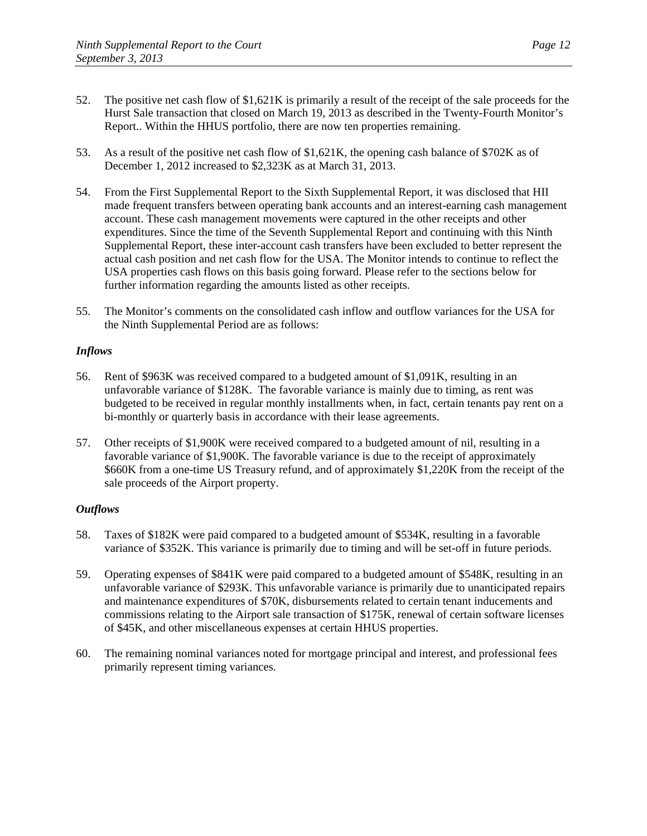- 52. The positive net cash flow of \$1,621K is primarily a result of the receipt of the sale proceeds for the Hurst Sale transaction that closed on March 19, 2013 as described in the Twenty-Fourth Monitor's Report.. Within the HHUS portfolio, there are now ten properties remaining.
- 53. As a result of the positive net cash flow of \$1,621K, the opening cash balance of \$702K as of December 1, 2012 increased to \$2,323K as at March 31, 2013.
- 54. From the First Supplemental Report to the Sixth Supplemental Report, it was disclosed that HII made frequent transfers between operating bank accounts and an interest-earning cash management account. These cash management movements were captured in the other receipts and other expenditures. Since the time of the Seventh Supplemental Report and continuing with this Ninth Supplemental Report, these inter-account cash transfers have been excluded to better represent the actual cash position and net cash flow for the USA. The Monitor intends to continue to reflect the USA properties cash flows on this basis going forward. Please refer to the sections below for further information regarding the amounts listed as other receipts.
- 55. The Monitor's comments on the consolidated cash inflow and outflow variances for the USA for the Ninth Supplemental Period are as follows:

### *Inflows*

- 56. Rent of \$963K was received compared to a budgeted amount of \$1,091K, resulting in an unfavorable variance of \$128K. The favorable variance is mainly due to timing, as rent was budgeted to be received in regular monthly installments when, in fact, certain tenants pay rent on a bi-monthly or quarterly basis in accordance with their lease agreements.
- 57. Other receipts of \$1,900K were received compared to a budgeted amount of nil, resulting in a favorable variance of \$1,900K. The favorable variance is due to the receipt of approximately \$660K from a one-time US Treasury refund, and of approximately \$1,220K from the receipt of the sale proceeds of the Airport property.

- 58. Taxes of \$182K were paid compared to a budgeted amount of \$534K, resulting in a favorable variance of \$352K. This variance is primarily due to timing and will be set-off in future periods.
- 59. Operating expenses of \$841K were paid compared to a budgeted amount of \$548K, resulting in an unfavorable variance of \$293K. This unfavorable variance is primarily due to unanticipated repairs and maintenance expenditures of \$70K, disbursements related to certain tenant inducements and commissions relating to the Airport sale transaction of \$175K, renewal of certain software licenses of \$45K, and other miscellaneous expenses at certain HHUS properties.
- 60. The remaining nominal variances noted for mortgage principal and interest, and professional fees primarily represent timing variances.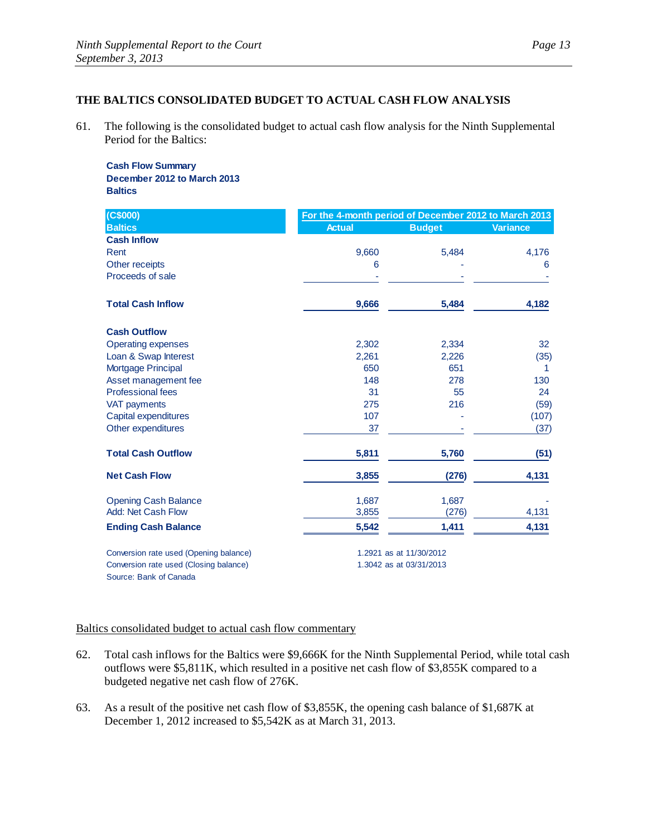## **THE BALTICS CONSOLIDATED BUDGET TO ACTUAL CASH FLOW ANALYSIS**

61. The following is the consolidated budget to actual cash flow analysis for the Ninth Supplemental Period for the Baltics:

#### **Cash Flow Summary December 2012 to March 2013 Baltics**

| (C\$000)                               | For the 4-month period of December 2012 to March 2013 |                         |                 |  |
|----------------------------------------|-------------------------------------------------------|-------------------------|-----------------|--|
| <b>Baltics</b>                         | <b>Actual</b>                                         | <b>Budget</b>           | <b>Variance</b> |  |
| <b>Cash Inflow</b>                     |                                                       |                         |                 |  |
| Rent                                   | 9,660                                                 | 5,484                   | 4,176           |  |
| Other receipts                         | 6                                                     |                         | 6               |  |
| Proceeds of sale                       |                                                       |                         |                 |  |
| <b>Total Cash Inflow</b>               | 9,666                                                 | 5,484                   | 4,182           |  |
| <b>Cash Outflow</b>                    |                                                       |                         |                 |  |
| <b>Operating expenses</b>              | 2,302                                                 | 2,334                   | 32              |  |
| Loan & Swap Interest                   | 2,261                                                 | 2,226                   | (35)            |  |
| <b>Mortgage Principal</b>              | 650                                                   | 651                     | 1               |  |
| Asset management fee                   | 148                                                   | 278                     | 130             |  |
| <b>Professional fees</b>               | 31                                                    | 55                      | 24              |  |
| VAT payments                           | 275                                                   | 216                     | (59)            |  |
| Capital expenditures                   | 107                                                   |                         | (107)           |  |
| Other expenditures                     | 37                                                    |                         | (37)            |  |
| <b>Total Cash Outflow</b>              | 5,811                                                 | 5,760                   | (51)            |  |
| <b>Net Cash Flow</b>                   | 3,855                                                 | (276)                   | 4,131           |  |
| <b>Opening Cash Balance</b>            | 1,687                                                 | 1,687                   |                 |  |
| <b>Add: Net Cash Flow</b>              | 3,855                                                 | (276)                   | 4,131           |  |
| <b>Ending Cash Balance</b>             | 5,542                                                 | 1,411                   | 4,131           |  |
| Conversion rate used (Opening balance) |                                                       | 1.2921 as at 11/30/2012 |                 |  |
| Conversion rate used (Closing balance) |                                                       | 1.3042 as at 03/31/2013 |                 |  |

Source: Bank of Canada

#### Baltics consolidated budget to actual cash flow commentary

- 62. Total cash inflows for the Baltics were \$9,666K for the Ninth Supplemental Period, while total cash outflows were \$5,811K, which resulted in a positive net cash flow of \$3,855K compared to a budgeted negative net cash flow of 276K.
- 63. As a result of the positive net cash flow of \$3,855K, the opening cash balance of \$1,687K at December 1, 2012 increased to \$5,542K as at March 31, 2013.